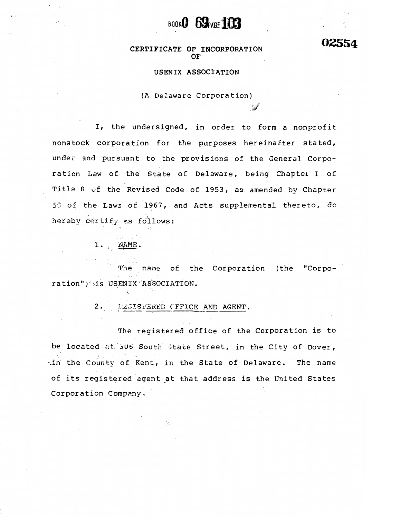

02554

CERTIFICATE OF INCORPORATION OF

### USENIX ASSOCIATION

(A Delaware Corporation)

I, the undersigned, in order to form a nonprofit nonstock corporation for the purposes hereinafter stated, under and pursuant to the provisions of the General Corporation Law of the State of Delaware, being Chapter I of Title 8 of the Revised Code of 1953, as amended by Chapter 50 of the Laws of 1967, and Acts supplemental thereto, do hereby certify as follows:

 $1.$   $NAME$ 

 $\rightarrow$ 

The name of the Corporation (the "Corporation") is USENIX ASSOCIATION.

> $2.5$ LEGISTERED CFFICE AND AGENT.

The registered office of the Corporation is to be located at 506 South State Street, in the City of Dover, in the County of Kent, in the State of Delaware. The name of its registered agent at that address is the United States Corporation Company.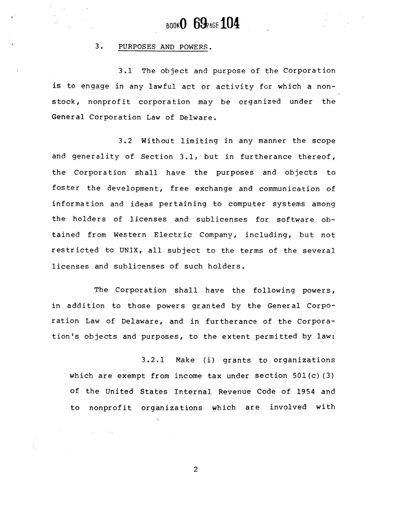## $_{\text{BOOK}}$ 0 69 $_{\text{PAGE}}$ 104

### 3. PURPOSES AND POWERS.

3.1 The object and purpose of the Corporation is to engage in any lawful act or activity for which a nonstock, nonprofit corporation may be organized under the General Corporation Law of Delware.

3.2 Without liniting in any nanner the scope and generality of Section 3.I, but in furtherance thereof, the Corporation shall have the purposes and objects to foster the development, free exchange and communication of information and ideas pertaining to computer systems among the holders of licenses and sublicenses for software obtained from Western Electric Company, including, but not restricted to UNIX, all subject to the terms of the several licenses and sublicenses of such holders.

The Corporation shall have the following powers, in addition to those powers granted by the General Corporation Law of Delaware, and in furtherance of the Corporation's objects and purposes, to the extent permitted by law:

3.2.I Make (i) grants to organizations which are exempt from income tax under section  $501(c)$  (3) of the United States fnternal Revenue Code of 1954 and to nonprofit organizations which are involved with

 $\overline{2}$ 

 $\sim 10^4$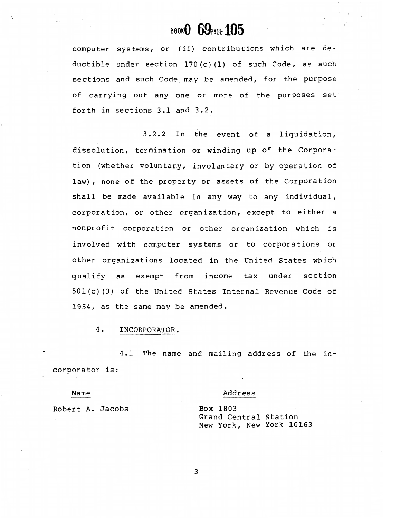# BOOKO 69PAGE 105

computer systems, or (ii) contributions which are deductible under section 170(c)(1) of such Code, as such sections and such Code may be amended, for the purpose of carrying out any one or more of the purposes set forth in sections 3.1 and 3.2.

3.2.2 In the event of a liquidation, dissolution, termination or winding up of the Corporation (whether voluntary, involuntary or by operation of law), none of the property or assets of the Corporation shall be made available in any way to any individual, corporation, or other organization, except to either a nonprofit corporation or other organization which is involved with computer systems or to corporations or other organizations located in the United States which qualify as exempt from income tax under section 501(c)(3) of the United States Internal Revenue Code of 1954, as the same may be amended.

4. INCORPORATOR.

 $4.1$ The name and mailing address of the incorporator is:

Name

### Address

Robert A. Jacobs

Box 1803 Grand Central Station New York, New York 10163

 $\overline{3}$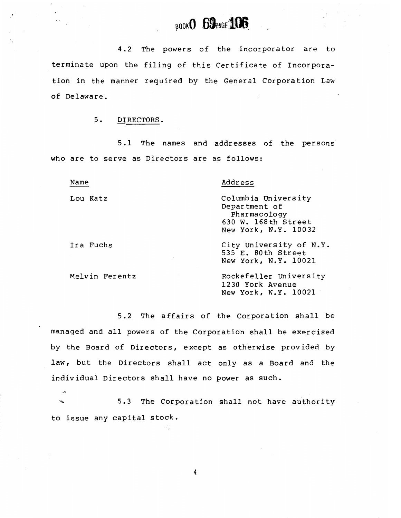# **POOKO 69 PAGE 106**

The powers of the incorporator are to  $4.2$ terminate upon the filing of this Certificate of Incorporation in the manner required by the General Corporation Law of Delaware.

### $5.$ DIRECTORS.

5.1 The names and addresses of the persons who are to serve as Directors are as follows:

| Address                                                                                             |
|-----------------------------------------------------------------------------------------------------|
| Columbia University<br>Department of<br>Pharmacology<br>630 W. 168th Street<br>New York, N.Y. 10032 |
| City University of N.Y.<br>535 E. 80th Street<br>New York, N.Y. 10021                               |
| Rockefeller University<br>1230 York Avenue<br>New York, N.Y. 10021                                  |
|                                                                                                     |

5.2 The affairs of the Corporation shall be managed and all powers of the Corporation shall be exercised by the Board of Directors, except as otherwise provided by law, but the Directors shall act only as a Board and the individual Directors shall have no power as such.

 $5.3$ The Corporation shall not have authority to issue any capital stock.

 $\overline{4}$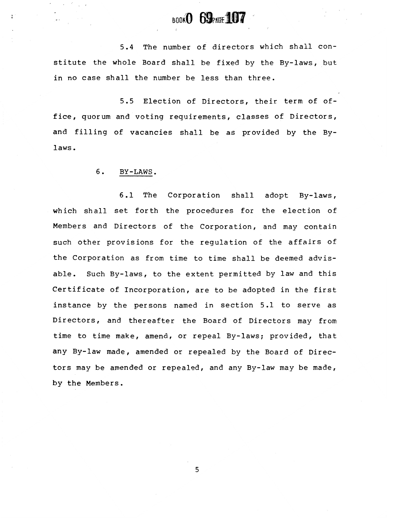## **BOOKO 69PACH 107**

5.4 The number of directors which shall constitute the whole Board shalt be fixed by the By-Iaws, but in no case shall the number be less than three.

5.5 Election of Directors, their term of office, guorum and voting reguirements, classes of Directors, and filling of vacancies shall be as provided by the Bylaws.

### 6. BY-LAWS.

ŀ.

6.1 The Corporation shall adopt By-Iaws, which shall set forth the procedures for the election of Members and Directors of the Corporation, and may contain such other provisions for the regulation of the affairs of the Corporation as from time to time shall be deemed advisable. Such By-laws, to the extent permitted by law and this Certificate of Incorporation, are to be adopted in the first instance by the persons named in section 5.1- to serve as Directors, and thereafter the Board of Directors may from time to time make, amend, or repeal By-laws; provided, that any By-law made, amended or repealed by the Board of Directors may be amended or repealed, and any By-law may be made, by the Members.

5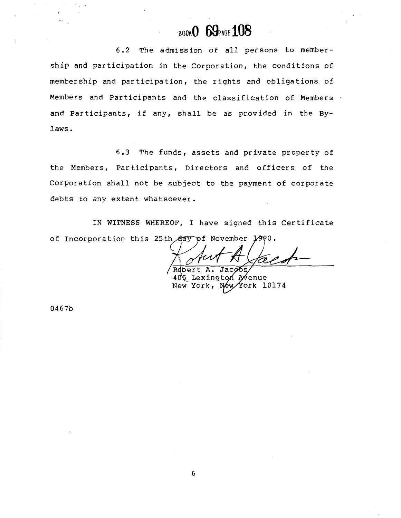## BOOKO 69PAGE 108

 $6.2$ The admission of all persons to membership and participation in the Corporation, the conditions of membership and participation, the rights and obligations of Members and Participants and the classification of Members and Participants, if any, shall be as provided in the Bylaws.

6.3 The funds, assets and private property of the Members, Participants, Directors and officers of the Corporation shall not be subject to the payment of corporate debts to any extent whatsoever.

IN WITNESS WHEREOF, I have signed this Certificate of Incorporation this 25th day of November 1980.

Robert Jacobs

405 Lexington Avenue New York, York 10174 Néw

0467b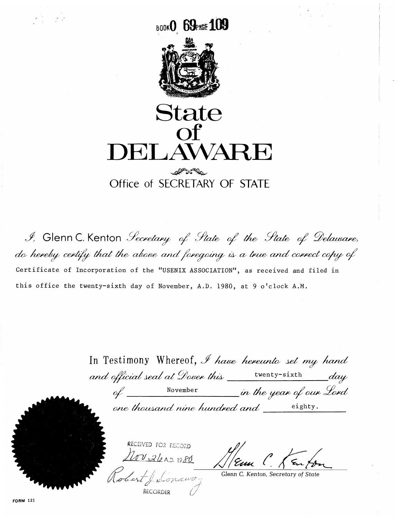**BOOKO 69PAGE 109** 



State  $\Omega$ DELAWARE

## alt of the Office of SECRETARY OF STATE

I, Glenn C. Kenton *Secretary* of State of the State of Delaware, do hereby certify that the above and foregoing is a true and correct copy of Certificate of Incorporation of the "USENIX ASSOCIATION", as received and filed in this office the twenty-sixth day of November, A.D. 1980, at 9 o'clock A.M.

> In Testimony Whereof, I have hereunto set my hand  $\_\_day$ November in the year of our Lord  $\alpha$

one thousand nine hundred and eighty.



Glenn C. Kenton, Secretary of State

**FORM 121**